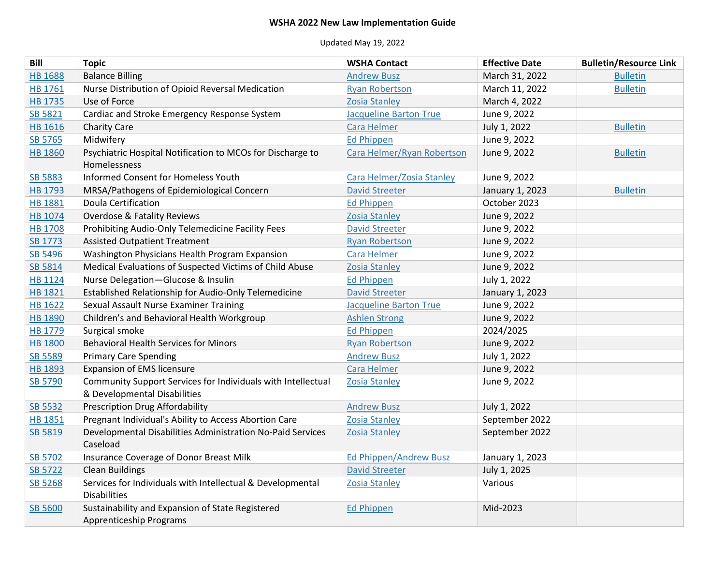## **WSHA 2022 New Law Implementation Guide**

## Updated May 19, 2022

| <b>Bill</b>    | <b>Topic</b>                                                                                 | <b>WSHA Contact</b>           | <b>Effective Date</b> | <b>Bulletin/Resource Link</b> |
|----------------|----------------------------------------------------------------------------------------------|-------------------------------|-----------------------|-------------------------------|
| <b>HB 1688</b> | <b>Balance Billing</b>                                                                       | <b>Andrew Busz</b>            | March 31, 2022        | <b>Bulletin</b>               |
| HB 1761        | Nurse Distribution of Opioid Reversal Medication                                             | <b>Ryan Robertson</b>         | March 11, 2022        | <b>Bulletin</b>               |
| <b>HB 1735</b> | Use of Force                                                                                 | Zosia Stanley                 | March 4, 2022         |                               |
| SB 5821        | Cardiac and Stroke Emergency Response System                                                 | <b>Jacqueline Barton True</b> | June 9, 2022          |                               |
| <b>HB 1616</b> | <b>Charity Care</b>                                                                          | Cara Helmer                   | July 1, 2022          | <b>Bulletin</b>               |
| SB 5765        | Midwifery                                                                                    | <b>Ed Phippen</b>             | June 9, 2022          |                               |
| <b>HB 1860</b> | Psychiatric Hospital Notification to MCOs for Discharge to                                   | Cara Helmer/Ryan Robertson    | June 9, 2022          | <b>Bulletin</b>               |
|                | Homelessness                                                                                 |                               |                       |                               |
| SB 5883        | Informed Consent for Homeless Youth                                                          | Cara Helmer/Zosia Stanley     | June 9, 2022          |                               |
| <b>HB 1793</b> | MRSA/Pathogens of Epidemiological Concern                                                    | <b>David Streeter</b>         | January 1, 2023       | <b>Bulletin</b>               |
| HB 1881        | <b>Doula Certification</b>                                                                   | <b>Ed Phippen</b>             | October 2023          |                               |
| HB 1074        | <b>Overdose &amp; Fatality Reviews</b>                                                       | <b>Zosia Stanley</b>          | June 9, 2022          |                               |
| <b>HB 1708</b> | Prohibiting Audio-Only Telemedicine Facility Fees                                            | <b>David Streeter</b>         | June 9, 2022          |                               |
| SB 1773        | <b>Assisted Outpatient Treatment</b>                                                         | <b>Ryan Robertson</b>         | June 9, 2022          |                               |
| SB 5496        | Washington Physicians Health Program Expansion                                               | <b>Cara Helmer</b>            | June 9, 2022          |                               |
| SB 5814        | Medical Evaluations of Suspected Victims of Child Abuse                                      | Zosia Stanley                 | June 9, 2022          |                               |
| HB 1124        | Nurse Delegation-Glucose & Insulin                                                           | <b>Ed Phippen</b>             | July 1, 2022          |                               |
| HB 1821        | Established Relationship for Audio-Only Telemedicine                                         | David Streeter                | January 1, 2023       |                               |
| HB 1622        | Sexual Assault Nurse Examiner Training                                                       | <b>Jacqueline Barton True</b> | June 9, 2022          |                               |
| HB 1890        | Children's and Behavioral Health Workgroup                                                   | <b>Ashlen Strong</b>          | June 9, 2022          |                               |
| HB 1779        | Surgical smoke                                                                               | <b>Ed Phippen</b>             | 2024/2025             |                               |
| HB 1800        | <b>Behavioral Health Services for Minors</b>                                                 | <b>Ryan Robertson</b>         | June 9, 2022          |                               |
| <b>SB 5589</b> | <b>Primary Care Spending</b>                                                                 | <b>Andrew Busz</b>            | July 1, 2022          |                               |
| HB 1893        | <b>Expansion of EMS licensure</b>                                                            | Cara Helmer                   | June 9, 2022          |                               |
| <b>SB 5790</b> | Community Support Services for Individuals with Intellectual<br>& Developmental Disabilities | <b>Zosia Stanley</b>          | June 9, 2022          |                               |
| SB 5532        | <b>Prescription Drug Affordability</b>                                                       | <b>Andrew Busz</b>            | July 1, 2022          |                               |
| HB 1851        | Pregnant Individual's Ability to Access Abortion Care                                        | <b>Zosia Stanley</b>          | September 2022        |                               |
| SB 5819        | Developmental Disabilities Administration No-Paid Services                                   | Zosia Stanley                 | September 2022        |                               |
|                | Caseload                                                                                     |                               |                       |                               |
| SB 5702        | Insurance Coverage of Donor Breast Milk                                                      | <b>Ed Phippen/Andrew Busz</b> | January 1, 2023       |                               |
| SB 5722        | <b>Clean Buildings</b>                                                                       | <b>David Streeter</b>         | July 1, 2025          |                               |
| SB 5268        | Services for Individuals with Intellectual & Developmental                                   | <b>Zosia Stanley</b>          | Various               |                               |
|                | <b>Disabilities</b>                                                                          |                               |                       |                               |
| <b>SB 5600</b> | Sustainability and Expansion of State Registered                                             | <b>Ed Phippen</b>             | Mid-2023              |                               |
|                | <b>Apprenticeship Programs</b>                                                               |                               |                       |                               |